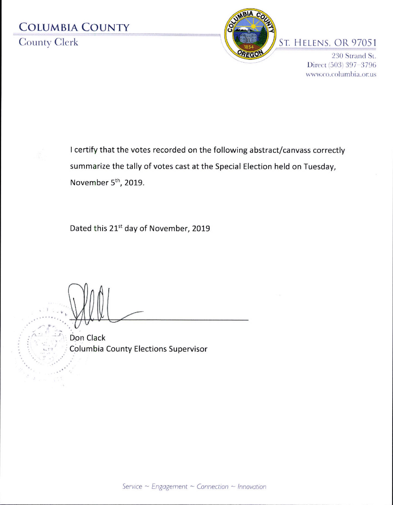# **COLUMBIA COUNTY County Clerk**



### ST. HELENS, OR 97051

230 Strand St. Direct (503) 397-3796 www.co.columbia.or.us

I certify that the votes recorded on the following abstract/canvass correctly summarize the tally of votes cast at the Special Election held on Tuesday, November 5<sup>th</sup>, 2019.

Dated this 21st day of November, 2019

Don Clack Columbia County Elections Supervisor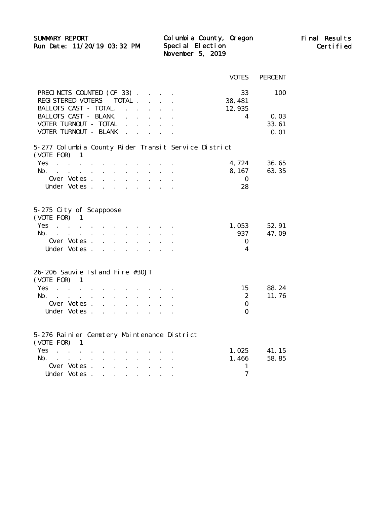SUMMARY REPORT Columbia County, Oregon Final Results

Run Date: 11/20/19 03:32 PM Special Election Certified November 5, 2019 Special Election Columbia County, Oregon

|                                                                                                                                                                                                                                                                                                     |                                              |                      |                                   |                                   | <b>VOTES</b>           | <b>PERCENT</b> |
|-----------------------------------------------------------------------------------------------------------------------------------------------------------------------------------------------------------------------------------------------------------------------------------------------------|----------------------------------------------|----------------------|-----------------------------------|-----------------------------------|------------------------|----------------|
| PRECINCTS COUNTED (OF 33).                                                                                                                                                                                                                                                                          |                                              |                      |                                   |                                   | 33                     | 100            |
| REGI STERED VOTERS - TOTAL.                                                                                                                                                                                                                                                                         |                                              |                      |                                   |                                   | 38, 481                |                |
| BALLOTS CAST - TOTAL.                                                                                                                                                                                                                                                                               |                                              |                      |                                   |                                   | 12, 935                |                |
| <b>BALLOTS CAST - BLANK.</b>                                                                                                                                                                                                                                                                        | $\ddot{\phantom{a}}$                         | $\sim 100$           |                                   | $\mathcal{L}^{\mathcal{L}}$       | 4                      | 0.03           |
| VOTER TURNOUT - TOTAL                                                                                                                                                                                                                                                                               | $\ddot{\phantom{a}}$                         |                      | $\mathcal{L} = \mathcal{L}$       | $\mathbf{L}^{\text{max}}$         |                        | 33.61          |
| VOTER TURNOUT - BLANK                                                                                                                                                                                                                                                                               | $\sim$                                       | $\sim$ $\sim$        |                                   |                                   |                        | 0.01           |
|                                                                                                                                                                                                                                                                                                     |                                              |                      |                                   |                                   |                        |                |
| 5-277 Columbia County Rider Transit Service District<br>(VOTE FOR)<br>1                                                                                                                                                                                                                             |                                              |                      |                                   |                                   |                        |                |
| Yes.<br>$\mathcal{A}^{\mathcal{A}}$ , $\mathcal{A}^{\mathcal{A}}$ , $\mathcal{A}^{\mathcal{A}}$ , $\mathcal{A}^{\mathcal{A}}$                                                                                                                                                                       |                                              |                      |                                   |                                   | 4,724                  | 36.65          |
| No. $\cdot$ $\cdot$ $\cdot$ $\cdot$ $\cdot$<br>$\mathbf{L}^{\text{max}}$                                                                                                                                                                                                                            | $\sim$                                       |                      |                                   |                                   | 8, 167                 | 63.35          |
| Over Votes.                                                                                                                                                                                                                                                                                         |                                              |                      |                                   |                                   | $\mathbf{0}$           |                |
| Under Votes.<br>$\overline{a}$                                                                                                                                                                                                                                                                      |                                              |                      |                                   |                                   | 28                     |                |
|                                                                                                                                                                                                                                                                                                     |                                              |                      |                                   |                                   |                        |                |
| 5-275 City of Scappoose<br>$(VOTE FOR)$ 1<br>Yes.<br>and the contract of the contract of the<br>No.<br>$\mathbf{r}$ , and $\mathbf{r}$ , and $\mathbf{r}$ , and $\mathbf{r}$<br>Over Votes.<br>$\cdot$ $\cdot$ $\cdot$<br>Under Votes.<br>$\mathbf{r}$ , $\mathbf{r}$ , $\mathbf{r}$ , $\mathbf{r}$ | $\ddot{\phantom{a}}$                         | $\ddot{\phantom{a}}$ | $\ddot{\phantom{a}}$<br>$\bullet$ | $\ddot{\phantom{a}}$<br>$\bullet$ | 1,053<br>937<br>0<br>4 | 52.91<br>47.09 |
| 26-206 Sauvie Island Fire #30JT<br>$(VOTE FOR)$ 1                                                                                                                                                                                                                                                   |                                              |                      |                                   |                                   |                        |                |
| Yes<br>$\sim 10^{11}$ km s $^{-1}$<br>$\mathbf{r}$<br>$\ddot{\phantom{a}}$                                                                                                                                                                                                                          |                                              |                      |                                   |                                   | 15                     | 88.24          |
| No.<br>$\sim$<br>$\ddot{\phantom{a}}$                                                                                                                                                                                                                                                               |                                              |                      |                                   |                                   | $\boldsymbol{2}$       | 11.76          |
| Over Votes.<br>$\mathbf{L}$<br>$\mathbf{L}$                                                                                                                                                                                                                                                         |                                              |                      |                                   |                                   | $\Omega$               |                |
| Under Votes.<br>$\sim$ $\sim$ $\sim$                                                                                                                                                                                                                                                                | $\mathbf{r}$                                 | $\overline{a}$       |                                   |                                   | $\Omega$               |                |
| 5-276 Rainier Cemetery Maintenance District<br>(VOTE FOR)<br>1                                                                                                                                                                                                                                      |                                              |                      |                                   |                                   |                        |                |
| <b>Yes</b><br>$\mathcal{A}=\mathcal{A}=\mathcal{A}=\mathcal{A}$                                                                                                                                                                                                                                     |                                              |                      |                                   |                                   | 1,025                  | 41.15          |
| No.<br>the contract of the contract of<br>$\ddot{\phantom{a}}$<br>$\ddot{\phantom{a}}$                                                                                                                                                                                                              | $\ddot{\phantom{a}}$                         |                      |                                   |                                   | 1,466                  | 58.85          |
| Over Votes.<br>$\ddot{\phantom{a}}$                                                                                                                                                                                                                                                                 | $\ddot{\phantom{0}}$<br>$\ddot{\phantom{a}}$ |                      |                                   |                                   | $\mathbf{1}$           |                |
| Under Votes.                                                                                                                                                                                                                                                                                        |                                              |                      |                                   |                                   | 7                      |                |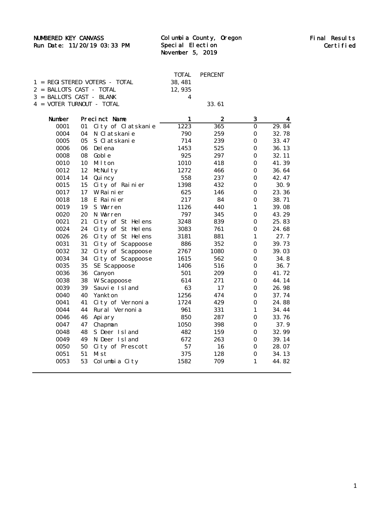### NUMBERED KEY CANVASS Final Results

#### Run Date: 11/20/19 03:33 PM Special Election November 5, 2019 Special Election Columbia County, Oregon

|  |                                                     |        | TOTAL PERCENT |
|--|-----------------------------------------------------|--------|---------------|
|  | $1 = REGISTERED VOTERS - TOTAL$                     | 38.481 |               |
|  | $2 = \text{BAI.0TS} \text{ CAST} - \text{TOTAI}.$   | 12.935 |               |
|  | $3 = \text{BAI J.OTS} \text{ CAST} - \text{BI.ANK}$ |        |               |
|  | $4 = VOTER TURNOUT - TOTAL$                         |        | 33.61         |

| Number |    | Precinct Name      | $\mathbf{1}$ | $\boldsymbol{2}$ | 3                | 4     |
|--------|----|--------------------|--------------|------------------|------------------|-------|
| 0001   | 01 | City of Clatskanie | 1223         | 365              | $\bf{0}$         | 29.84 |
| 0004   | 04 | N Clatskanie       | 790          | 259              | $\bf{0}$         | 32.78 |
| 0005   | 05 | S Clatskanie       | 714          | 239              | $\bf{0}$         | 33.47 |
| 0006   | 06 | Del ena            | 1453         | 525              | $\Omega$         | 36.13 |
| 0008   | 08 | Gobl <sub>e</sub>  | 925          | 297              | $\bf{0}$         | 32.11 |
| 0010   | 10 | Milton             | 1010         | 418              | $\mathbf{0}$     | 41.39 |
| 0012   | 12 | McNulty            | 1272         | 466              | $\bf{0}$         | 36.64 |
| 0014   | 14 | Qui ncy            | 558          | 237              | $\bf{0}$         | 42.47 |
| 0015   | 15 | City of Rainier    | 1398         | 432              | $\bf{0}$         | 30.9  |
| 0017   | 17 | W Rainier          | 625          | 146              | $\mathbf{0}$     | 23.36 |
| 0018   | 18 | E Rainier          | 217          | 84               | $\bf{0}$         | 38.71 |
| 0019   | 19 | S Warren           | 1126         | 440              | $\mathbf{1}$     | 39.08 |
| 0020   | 20 | N Warren           | 797          | 345              | $\bf{0}$         | 43.29 |
| 0021   | 21 | City of St Helens  | 3248         | 839              | $\bf{0}$         | 25.83 |
| 0024   | 24 | City of St Helens  | 3083         | 761              | $\bf{0}$         | 24.68 |
| 0026   | 26 | City of St Helens  | 3181         | 881              | $\mathbf{1}$     | 27.7  |
| 0031   | 31 | City of Scappoose  | 886          | 352              | $\bf{0}$         | 39.73 |
| 0032   | 32 | City of Scappoose  | 2767         | 1080             | $\bf{0}$         | 39.03 |
| 0034   | 34 | City of Scappoose  | 1615         | 562              | $\bf{0}$         | 34.8  |
| 0035   | 35 | SE Scappoose       | 1406         | 516              | $\mathbf{0}$     | 36.7  |
| 0036   | 36 | Canyon             | 501          | 209              | $\mathbf{0}$     | 41.72 |
| 0038   | 38 | <b>W</b> Scappoose | 614          | 271              | $\bf{0}$         | 44.14 |
| 0039   | 39 | Sauvie Island      | 63           | 17               | $\bf{0}$         | 26.98 |
| 0040   | 40 | Yankton            | 1256         | 474              | $\Omega$         | 37.74 |
| 0041   | 41 | City of Vernonia   | 1724         | 429              | $\mathbf{0}$     | 24.88 |
| 0044   | 44 | Rural Vernonia     | 961          | 331              | $\mathbf{1}$     | 34.44 |
| 0046   | 46 | Api ary            | 850          | 287              | $\Omega$         | 33.76 |
| 0047   | 47 | Chapman            | 1050         | 398              | $\bf{0}$         | 37.9  |
| 0048   | 48 | S Deer Island      | 482          | 159              | $\bf{0}$         | 32.99 |
| 0049   | 49 | N Deer Island      | 672          | 263              | $\bf{0}$         | 39.14 |
| 0050   | 50 | City of Prescott   | 57           | 16               | $\Omega$         | 28.07 |
| 0051   | 51 | Mi st              | 375          | 128              | $\boldsymbol{0}$ | 34.13 |
| 0053   | 53 | Columbia City      | 1582         | 709              | $\mathbf{1}$     | 44.82 |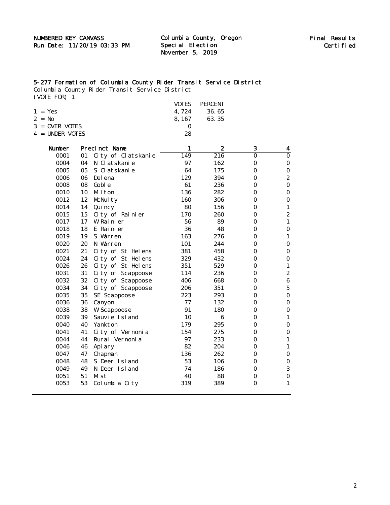November 5, 2019 Special Election

#### 5-277 Formation of Columbia County Rider Transit Service District

Columbia County Rider Transit Service District (VOTE FOR) 1

|           |                                   |    |                    | VOTES        | <b>PERCENT</b>   |          |                  |
|-----------|-----------------------------------|----|--------------------|--------------|------------------|----------|------------------|
| $1 = Yes$ |                                   |    |                    | 4,724        | 36.65            |          |                  |
| $2 = No$  |                                   |    |                    | 8, 167       | 63.35            |          |                  |
|           | 3 = OVER VOTES<br>4 = UNDER VOTES |    | $\bf{0}$           |              |                  |          |                  |
|           |                                   |    | 28                 |              |                  |          |                  |
|           | Number                            |    | Precinct Name      | $\mathbf{1}$ | $\boldsymbol{2}$ | 3        | 4                |
|           | 0001                              | 01 | City of Clatskanie | 149          | 216              | $\Omega$ | $\Omega$         |
|           | 0004                              | 04 | N Clatskanie       | 97           | 162              | $\bf{0}$ | 0                |
|           | 0005                              | 05 | S Clatskanie       | 64           | 175              | $\bf{0}$ | $\bf{0}$         |
|           | 0006                              | 06 | Del ena            | 129          | 394              | 0        | $\boldsymbol{2}$ |
|           | 0008                              | 08 | Gobl e             | 61           | 236              | $\bf{0}$ | $\bf{0}$         |
|           | 0010                              | 10 | Milton             | 136          | 282              | 0        | $\bf{0}$         |
|           | 0012                              | 12 | McNulty            | 160          | 306              | $\Omega$ | $\bf{0}$         |
|           | 0014                              | 14 | Qui ncy            | 80           | 156              | $\bf{0}$ | $\mathbf{1}$     |
|           | 0015                              | 15 | City of Rainier    | 170          | 260              | $\Omega$ | $\boldsymbol{2}$ |
|           | 0017                              | 17 | W Rainier          | 56           | 89               | $\bf{0}$ | $\mathbf{1}$     |
|           | 0018                              | 18 | E Rainier          | 36           | 48               | $\Omega$ | $\bf{0}$         |
|           | 0019                              | 19 | S Warren           | 163          | 276              | 0        | $\mathbf{1}$     |
|           | 0020                              | 20 | N Warren           | 101          | 244              | $\bf{0}$ | $\bf{0}$         |
|           | 0021                              | 21 | City of St Helens  | 381          | 458              | 0        | $\bf{0}$         |
|           | 0024                              | 24 | City of St Helens  | 329          | 432              | $\bf{0}$ | $\bf{0}$         |
|           | 0026                              | 26 | City of St Helens  | 351          | 529              | 0        | $\mathbf{1}$     |
|           | 0031                              | 31 | City of Scappoose  | 114          | 236              | $\bf{0}$ | $\boldsymbol{2}$ |
|           | 0032                              | 32 | City of Scappoose  | 406          | 668              | 0        | $\boldsymbol{6}$ |
|           | 0034                              | 34 | City of Scappoose  | 206          | 351              | $\bf{0}$ | $\overline{5}$   |
|           | 0035                              | 35 | SE Scappoose       | 223          | 293              | 0        | 0                |
|           | 0036                              | 36 | Canyon             | 77           | 132              | $\bf{0}$ | $\bf{0}$         |
|           | 0038                              | 38 | <b>W</b> Scappoose | 91           | 180              | 0        | $\bf{0}$         |
|           | 0039                              | 39 | Sauvie Island      | 10           | 6                | $\bf{0}$ | $\mathbf{1}$     |
|           | 0040                              | 40 | Yankton            | 179          | 295              | $\bf{0}$ | $\bf{0}$         |
|           | 0041                              | 41 | City of Vernonia   | 154          | 275              | $\Omega$ | $\bf{0}$         |
|           | 0044                              | 44 | Rural Vernonia     | 97           | 233              | $\bf{0}$ | $\mathbf{1}$     |
|           | 0046                              | 46 | Api ary            | 82           | 204              | $\Omega$ | $\mathbf{1}$     |
|           | 0047                              | 47 | Chapman            | 136          | 262              | $\bf{0}$ | $\bf{0}$         |
|           | 0048                              | 48 | S Deer Island      | 53           | 106              | $\bf{0}$ | $\bf{0}$         |
|           | 0049                              | 49 | N Deer Island      | 74           | 186              | 0        | 3                |
|           | 0051                              | 51 | Mi st              | 40           | 88               | $\bf{0}$ | $\bf{0}$         |
|           | 0053                              | 53 | Columbia City      | 319          | 389              | 0        | 1                |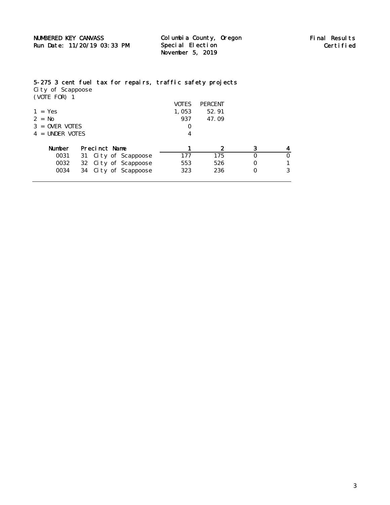November 5, 2019 Special Election

## 5-275 3 cent fuel tax for repairs, traffic safety projects

City of Scappoose (VOTE FOR) 1

|                   |                         | VOTES    | <b>PERCENT</b> |   |   |
|-------------------|-------------------------|----------|----------------|---|---|
| $1 = Yes$         |                         | 1,053    | 52.91          |   |   |
| $2 = No$          |                         | 937      | 47.09          |   |   |
| $3 =$ OVER VOTES  |                         | $\Omega$ |                |   |   |
| $4 =$ UNDER VOTES |                         | 4        |                |   |   |
| Number            | Precinct Name           |          | 2              | 3 |   |
| 0031              | City of Scappoose<br>31 | 177      | 175            | O | 0 |
|                   |                         |          |                |   |   |
| 0032              | 32 City of Scappoose    | 553      | 526            | 0 |   |
|                   |                         |          |                |   |   |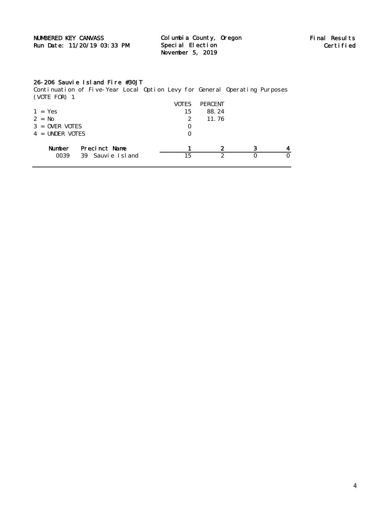| <b>NUMBERED KEY CANVASS</b> | Columbia County, Oregon | Final Results |
|-----------------------------|-------------------------|---------------|
| Run Date: 11/20/19 03:33 PM | Special Election        | Certified     |
|                             | November 5, 2019        |               |

### 26-206 Sauvie Island Fire #30JT

Continuation of Five-Year Local Option Levy for General Operating Purposes (VOTE FOR) 1

|                   |                  | VOTES        | <b>PERCENT</b> |   |  |
|-------------------|------------------|--------------|----------------|---|--|
| $1 = Yes$         |                  | 15           | 88.24          |   |  |
| $2 = No$          |                  | $\mathbf{2}$ | 11.76          |   |  |
| $3 =$ OVER VOTES  |                  | 0            |                |   |  |
| $4 =$ UNDER VOTES |                  | 0            |                |   |  |
| Number            | Precinct Name    |              | 2              | 3 |  |
| 0039              | 39 Sauvie Island | 15           | 2              |   |  |